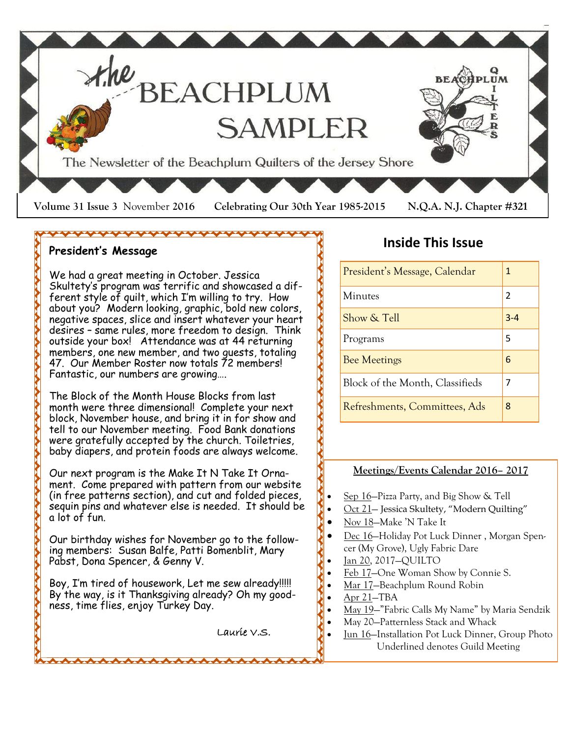

### **President's Message**

We had a great meeting in October. Jessica Skultety's program was terrific and showcased a different style of quilt, which I'm willing to try. How about you? Modern looking, graphic, bold new colors, negative spaces, slice and insert whatever your heart desires – same rules, more freedom to design. Think outside your box! Attendance was at 44 returning members, one new member, and two guests, totaling 47. Our Member Roster now totals 72 members! Fantastic, our numbers are growing….

The Block of the Month House Blocks from last month were three dimensional! Complete your next block, November house, and bring it in for show and tell to our November meeting. Food Bank donations were gratefully accepted by the church. Toiletries, baby diapers, and protein foods are always welcome.

Our next program is the Make It N Take It Ornament. Come prepared with pattern from our website (in free patterns section), and cut and folded pieces, sequin pins and whatever else is needed. It should be a lot of fun.

Our birthday wishes for November go to the following members: Susan Balfe, Patti Bomenblit, Mary Pabst, Dona Spencer, & Genny V.

Boy, I'm tired of housework, Let me sew already!!!!! By the way, is it Thanksgiving already? Oh my goodness, time flies, enjoy Turkey Day.

Laurie V.S.

## **Inside This Issue**

| President's Message, Calendar   | 1              |
|---------------------------------|----------------|
| Minutes                         | $\mathfrak{p}$ |
| Show & Tell                     | $3 - 4$        |
| Programs                        | 5              |
| <b>Bee Meetings</b>             | 6              |
| Block of the Month, Classifieds | 7              |
| Refreshments, Committees, Ads   | 8              |

### **Meetings/Events Calendar 2016– 2017**

- Sep 16—Pizza Party, and Big Show & Tell
- Oct 21— Jessica Skultety, "Modern Quilting"
- Nov 18–Make 'N Take It
- Dec 16—Holiday Pot Luck Dinner , Morgan Spencer (My Grove), Ugly Fabric Dare
- Jan 20, 2017—QUILTO
- Feb 17—One Woman Show by Connie S.
- Mar 17—Beachplum Round Robin
- Apr 21—TBA
- May 19—"Fabric Calls My Name" by Maria Sendzik
- May 20—Patternless Stack and Whack
- Jun 16—Installation Pot Luck Dinner, Group Photo Underlined denotes Guild Meeting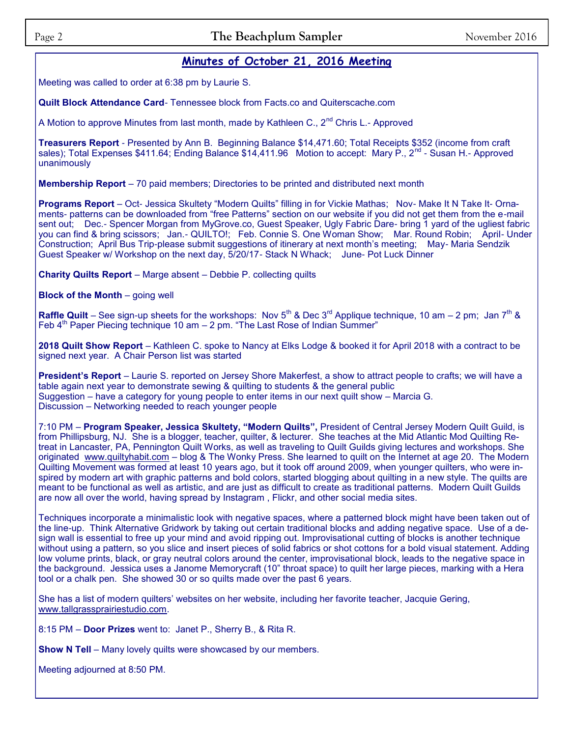### **Minutes of October 21, 2016 Meeting**

Meeting was called to order at 6:38 pm by Laurie S.

**Quilt Block Attendance Card**- Tennessee block from Facts.co and Quiterscache.com

A Motion to approve Minutes from last month, made by Kathleen C.,  $2^{nd}$  Chris L.- Approved

**Treasurers Report** - Presented by Ann B. Beginning Balance \$14,471.60; Total Receipts \$352 (income from craft sales); Total Expenses \$411.64; Ending Balance \$14,411.96 Motion to accept: Mary P., 2<sup>nd</sup> - Susan H.- Approved unanimously

**Membership Report** – 70 paid members; Directories to be printed and distributed next month

**Programs Report** – Oct- Jessica Skultety "Modern Quilts" filling in for Vickie Mathas; Nov- Make It N Take It- Ornaments- patterns can be downloaded from "free Patterns" section on our website if you did not get them from the e-mail sent out; Dec.- Spencer Morgan from MyGrove.co, Guest Speaker, Ugly Fabric Dare- bring 1 yard of the ugliest fabric you can find & bring scissors; Jan.- QUILTO!; Feb. Connie S. One Woman Show; Mar. Round Robin; April- Under Construction; April Bus Trip-please submit suggestions of itinerary at next month's meeting; May- Maria Sendzik Guest Speaker w/ Workshop on the next day, 5/20/17- Stack N Whack; June- Pot Luck Dinner

**Charity Quilts Report** – Marge absent – Debbie P. collecting quilts

**Block of the Month** – going well

**Raffle Quilt** – See sign-up sheets for the workshops: Nov  $5^{th}$  & Dec 3<sup>rd</sup> Applique technique, 10 am – 2 pm; Jan  $7^{th}$  & Feb  $4<sup>th</sup>$  Paper Piecing technique 10 am  $-$  2 pm. "The Last Rose of Indian Summer"

**2018 Quilt Show Report** – Kathleen C. spoke to Nancy at Elks Lodge & booked it for April 2018 with a contract to be signed next year. A Chair Person list was started

**President's Report** – Laurie S. reported on Jersey Shore Makerfest, a show to attract people to crafts; we will have a table again next year to demonstrate sewing & quilting to students & the general public Suggestion – have a category for young people to enter items in our next quilt show – Marcia G. Discussion – Networking needed to reach younger people

7:10 PM – **Program Speaker, Jessica Skultety, "Modern Quilts",** President of Central Jersey Modern Quilt Guild, is from Phillipsburg, NJ. She is a blogger, teacher, quilter, & lecturer. She teaches at the Mid Atlantic Mod Quilting Retreat in Lancaster, PA, Pennington Quilt Works, as well as traveling to Quilt Guilds giving lectures and workshops. She originated [www.quiltyhabit.com](http://www.quiltyhabit.com) – blog & The Wonky Press. She learned to quilt on the Internet at age 20. The Modern Quilting Movement was formed at least 10 years ago, but it took off around 2009, when younger quilters, who were inspired by modern art with graphic patterns and bold colors, started blogging about quilting in a new style. The quilts are meant to be functional as well as artistic, and are just as difficult to create as traditional patterns. Modern Quilt Guilds are now all over the world, having spread by Instagram , Flickr, and other social media sites.

Techniques incorporate a minimalistic look with negative spaces, where a patterned block might have been taken out of the line-up. Think Alternative Gridwork by taking out certain traditional blocks and adding negative space. Use of a design wall is essential to free up your mind and avoid ripping out. Improvisational cutting of blocks is another technique without using a pattern, so you slice and insert pieces of solid fabrics or shot cottons for a bold visual statement. Adding low volume prints, black, or gray neutral colors around the center, improvisational block, leads to the negative space in the background. Jessica uses a Janome Memorycraft (10" throat space) to quilt her large pieces, marking with a Hera tool or a chalk pen. She showed 30 or so quilts made over the past 6 years.

She has a list of modern quilters' websites on her website, including her favorite teacher, Jacquie Gering, [www.tallgrassprairiestudio.com.](http://www.tallgrassprairiestudio.com)

8:15 PM – **Door Prizes** went to: Janet P., Sherry B., & Rita R.

**Show N Tell** – Many lovely quilts were showcased by our members.

Meeting adjourned at 8:50 PM.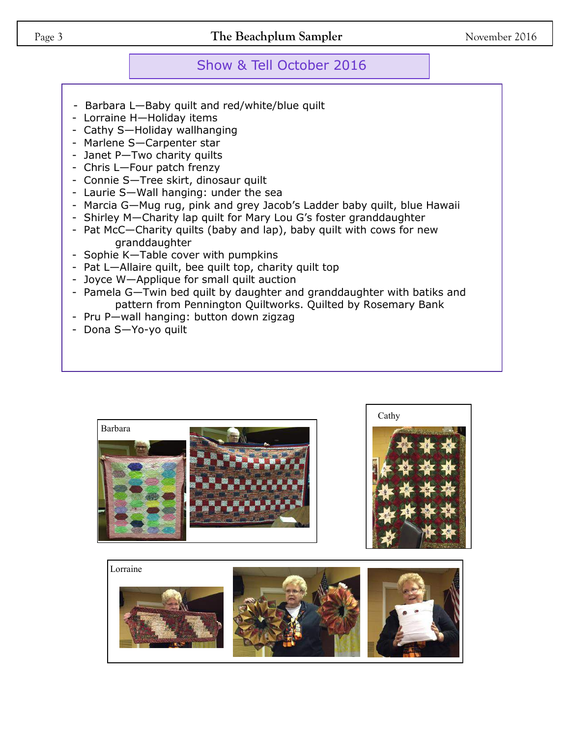## Show & Tell October 2016

- Barbara L—Baby quilt and red/white/blue quilt
- Lorraine H—Holiday items
- Cathy S—Holiday wallhanging
- Marlene S—Carpenter star
- Janet P—Two charity quilts
- Chris L—Four patch frenzy
- Connie S—Tree skirt, dinosaur quilt
- Laurie S—Wall hanging: under the sea
- Marcia G—Mug rug, pink and grey Jacob's Ladder baby quilt, blue Hawaii
- Shirley M—Charity lap quilt for Mary Lou G's foster granddaughter
- Pat McC—Charity quilts (baby and lap), baby quilt with cows for new granddaughter
- Sophie K—Table cover with pumpkins
- Pat L—Allaire quilt, bee quilt top, charity quilt top
- Joyce W—Applique for small quilt auction
- Pamela G—Twin bed quilt by daughter and granddaughter with batiks and pattern from Pennington Quiltworks. Quilted by Rosemary Bank
- Pru P—wall hanging: button down zigzag
- Dona S—Yo-yo quilt





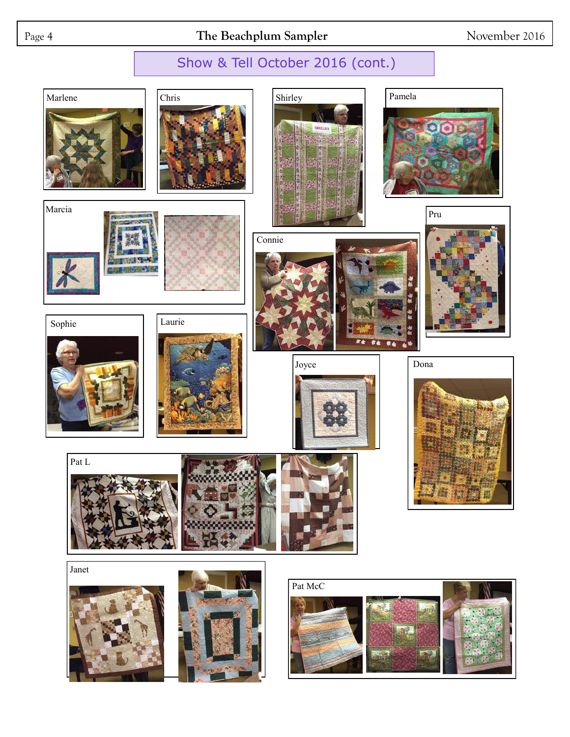# Page 4 **The Beachplum Sampler** November 2016

# Show & Tell October 2016 (cont.)

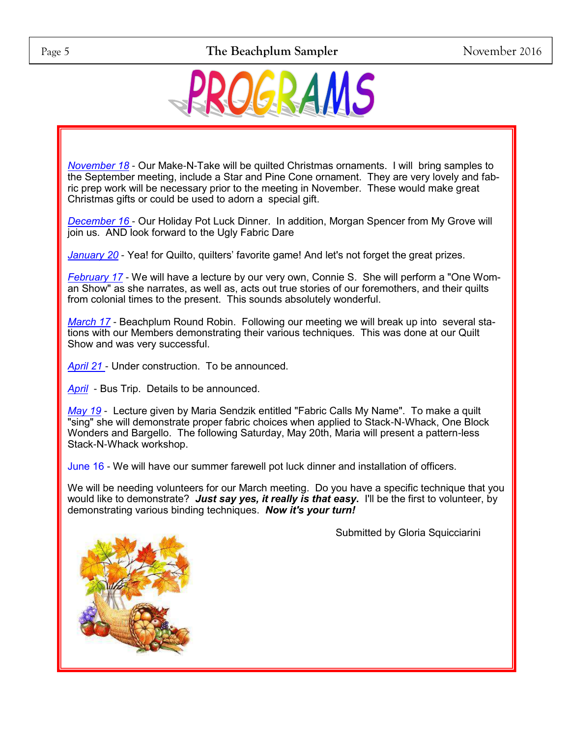

*November 18* - Our Make-N-Take will be quilted Christmas ornaments. I will bring samples to the September meeting, include a Star and Pine Cone ornament. They are very lovely and fabric prep work will be necessary prior to the meeting in November. These would make great Christmas gifts or could be used to adorn a special gift.

*December 16* - Our Holiday Pot Luck Dinner. In addition, Morgan Spencer from My Grove will join us. AND look forward to the Ugly Fabric Dare

*January 20* - Yea! for Quilto, quilters' favorite game! And let's not forget the great prizes.

*February 17* - We will have a lecture by our very own, Connie S. She will perform a "One Woman Show" as she narrates, as well as, acts out true stories of our foremothers, and their quilts from colonial times to the present. This sounds absolutely wonderful.

*March 17* - Beachplum Round Robin. Following our meeting we will break up into several stations with our Members demonstrating their various techniques. This was done at our Quilt Show and was very successful.

*April 21* - Under construction. To be announced.

*April* - Bus Trip. Details to be announced.

*May 19* - Lecture given by Maria Sendzik entitled "Fabric Calls My Name". To make a quilt "sing" she will demonstrate proper fabric choices when applied to Stack-N-Whack, One Block Wonders and Bargello. The following Saturday, May 20th, Maria will present a pattern-less Stack-N-Whack workshop.

June 16 - We will have our summer farewell pot luck dinner and installation of officers.

We will be needing volunteers for our March meeting. Do you have a specific technique that you would like to demonstrate? *Just say yes, it really is that easy***.** I'll be the first to volunteer, by demonstrating various binding techniques. *Now it's your turn!* 

Submitted by Gloria Squicciarini

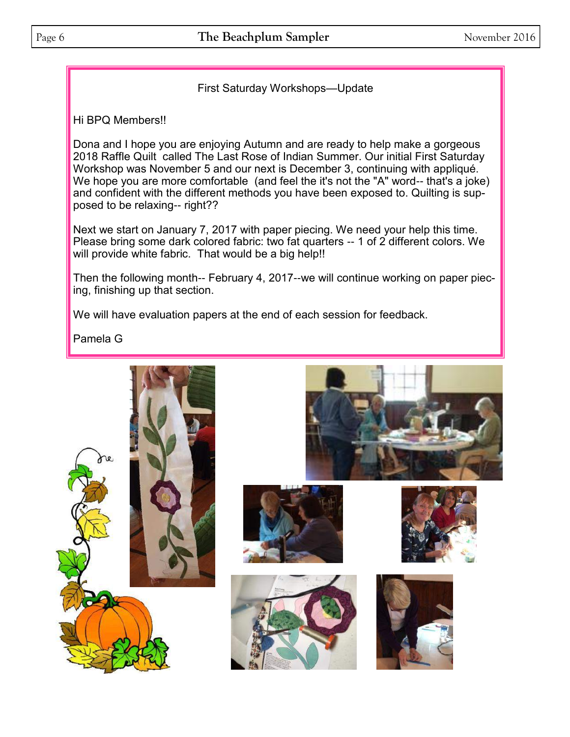First Saturday Workshops—Update

Hi BPQ Members!!

Dona and I hope you are enjoying Autumn and are ready to help make a gorgeous 2018 Raffle Quilt called The Last Rose of Indian Summer. Our initial First Saturday Workshop was November 5 and our next is December 3, continuing with appliqué. We hope you are more comfortable (and feel the it's not the "A" word-- that's a joke) and confident with the different methods you have been exposed to. Quilting is supposed to be relaxing-- right??

Next we start on January 7, 2017 with paper piecing. We need your help this time. Please bring some dark colored fabric: two fat quarters -- 1 of 2 different colors. We will provide white fabric. That would be a big help!!

Then the following month-- February 4, 2017--we will continue working on paper piecing, finishing up that section.

We will have evaluation papers at the end of each session for feedback.

Pamela G











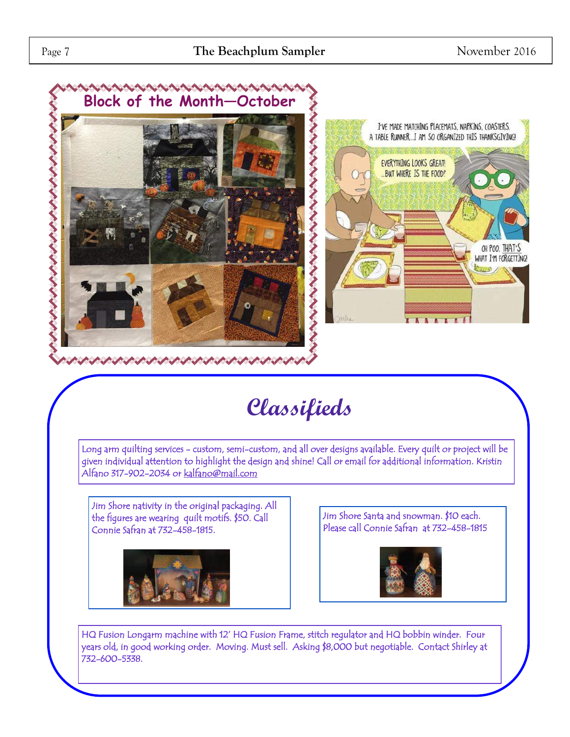

# **Classifieds**

Long arm quilting services - custom, semi-custom, and all over designs available. Every quilt or project will be given individual attention to highlight the design and shine! Call or email for additional information. Kristin Alfano 317-902-2034 or [kalfano@mail.com](mailto:kalfano@mail.com) 

Jim Shore nativity in the original packaging. All the figures are wearing quilt motifs. \$50. Call Connie Safran at 732-458-1815.



Jim Shore Santa and snowman. \$10 each. Please call Connie Safran at 732-458-1815



HQ Fusion Longarm machine with 12' HQ Fusion Frame, stitch regulator and HQ bobbin winder. Four years old, in good working order. Moving. Must sell. Asking \$8,000 but negotiable. Contact Shirley at 732-600-5338.